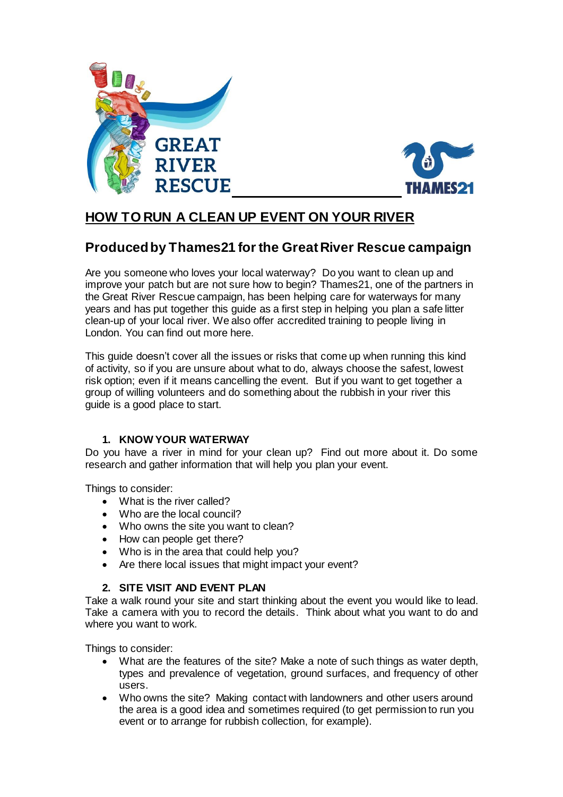



# **HOW TO RUN A CLEAN UP EVENT ON YOUR RIVER**

# **Produced by Thames21 for the Great River Rescue campaign**

Are you someone who loves your local waterway? Do you want to clean up and improve your patch but are not sure how to begin? Thames21, one of the partners in the Great River Rescue campaign, has been helping care for waterways for many years and has put together this guide as a first step in helping you plan a safe litter clean-up of your local river. We also offer accredited training to people living in London. You can find out more here.

This guide doesn't cover all the issues or risks that come up when running this kind of activity, so if you are unsure about what to do, always choose the safest, lowest risk option; even if it means cancelling the event. But if you want to get together a group of willing volunteers and do something about the rubbish in your river this guide is a good place to start.

## **1. KNOW YOUR WATERWAY**

Do you have a river in mind for your clean up? Find out more about it. Do some research and gather information that will help you plan your event.

Things to consider:

- What is the river called?
- Who are the local council?
- Who owns the site you want to clean?
- How can people get there?
- Who is in the area that could help you?
- Are there local issues that might impact your event?

## **2. SITE VISIT AND EVENT PLAN**

Take a walk round your site and start thinking about the event you would like to lead. Take a camera with you to record the details. Think about what you want to do and where you want to work.

Things to consider:

- What are the features of the site? Make a note of such things as water depth, types and prevalence of vegetation, ground surfaces, and frequency of other users.
- Who owns the site? Making contact with landowners and other users around the area is a good idea and sometimes required (to get permission to run you event or to arrange for rubbish collection, for example).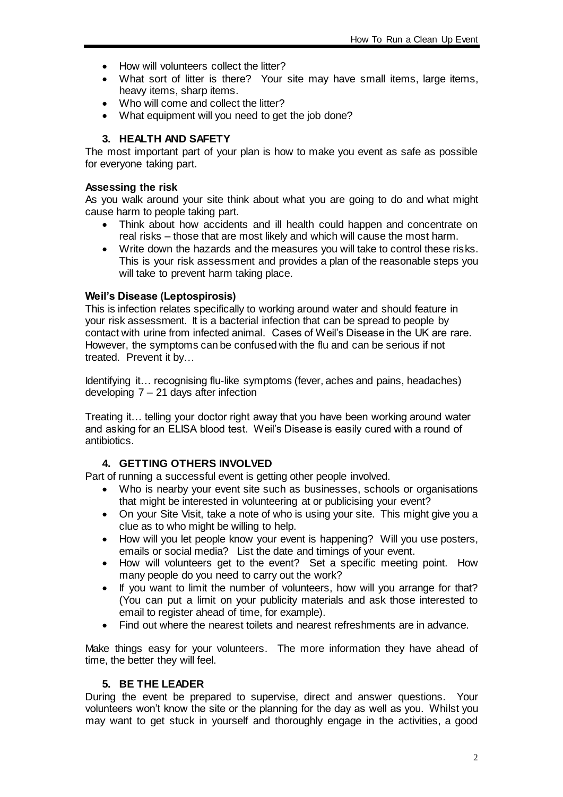- How will volunteers collect the litter?
- What sort of litter is there? Your site may have small items, large items, heavy items, sharp items.
- Who will come and collect the litter?
- What equipment will you need to get the job done?

## **3. HEALTH AND SAFETY**

The most important part of your plan is how to make you event as safe as possible for everyone taking part.

#### **Assessing the risk**

As you walk around your site think about what you are going to do and what might cause harm to people taking part.

- Think about how accidents and ill health could happen and concentrate on real risks – those that are most likely and which will cause the most harm.
- Write down the hazards and the measures you will take to control these risks. This is your risk assessment and provides a plan of the reasonable steps you will take to prevent harm taking place.

#### **Weil's Disease (Leptospirosis)**

This is infection relates specifically to working around water and should feature in your risk assessment. It is a bacterial infection that can be spread to people by contact with urine from infected animal. Cases of Weil's Disease in the UK are rare. However, the symptoms can be confused with the flu and can be serious if not treated. Prevent it by…

Identifying it… recognising flu-like symptoms (fever, aches and pains, headaches) developing 7 – 21 days after infection

Treating it… telling your doctor right away that you have been working around water and asking for an ELISA blood test. Weil's Disease is easily cured with a round of antibiotics.

## **4. GETTING OTHERS INVOLVED**

Part of running a successful event is getting other people involved.

- Who is nearby your event site such as businesses, schools or organisations that might be interested in volunteering at or publicising your event?
- On your Site Visit, take a note of who is using your site. This might give you a clue as to who might be willing to help.
- How will you let people know your event is happening? Will you use posters, emails or social media? List the date and timings of your event.
- How will volunteers get to the event? Set a specific meeting point. How many people do you need to carry out the work?
- If you want to limit the number of volunteers, how will you arrange for that? (You can put a limit on your publicity materials and ask those interested to email to register ahead of time, for example).
- Find out where the nearest toilets and nearest refreshments are in advance.

Make things easy for your volunteers. The more information they have ahead of time, the better they will feel.

## **5. BE THE LEADER**

During the event be prepared to supervise, direct and answer questions. Your volunteers won't know the site or the planning for the day as well as you. Whilst you may want to get stuck in yourself and thoroughly engage in the activities, a good